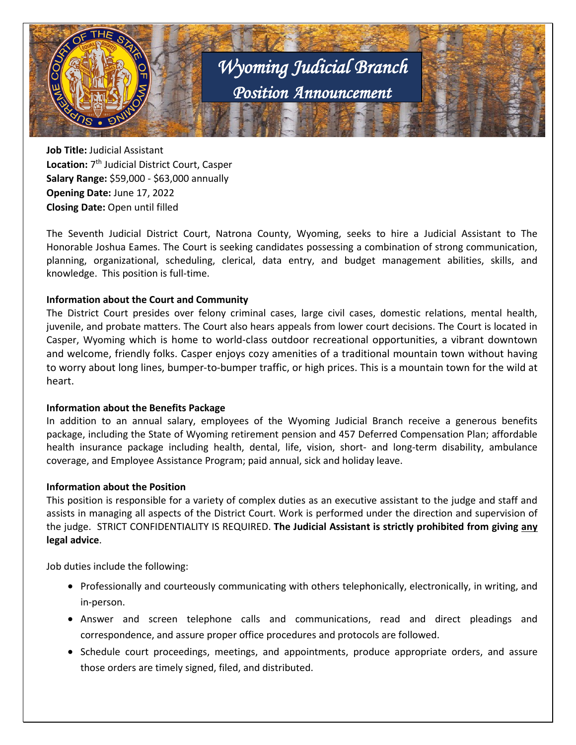

**Job Title:** Judicial Assistant **Location:** 7th Judicial District Court, Casper **Salary Range:** \$59,000 - \$63,000 annually **Opening Date:** June 17, 2022 **Closing Date:** Open until filled

The Seventh Judicial District Court, Natrona County, Wyoming, seeks to hire a Judicial Assistant to The Honorable Joshua Eames. The Court is seeking candidates possessing a combination of strong communication, planning, organizational, scheduling, clerical, data entry, and budget management abilities, skills, and knowledge. This position is full-time.

### **Information about the Court and Community**

The District Court presides over felony criminal cases, large civil cases, domestic relations, mental health, juvenile, and probate matters. The Court also hears appeals from lower court decisions. The Court is located in Casper, Wyoming which is home to world-class outdoor recreational opportunities, a vibrant downtown and welcome, friendly folks. Casper enjoys cozy amenities of a traditional mountain town without having to worry about long lines, bumper-to-bumper traffic, or high prices. This is a mountain town for the wild at heart.

#### **Information about the Benefits Package**

In addition to an annual salary, employees of the Wyoming Judicial Branch receive a generous benefits package, including the State of Wyoming retirement pension and 457 Deferred Compensation Plan; affordable health insurance package including health, dental, life, vision, short- and long-term disability, ambulance coverage, and Employee Assistance Program; paid annual, sick and holiday leave.

#### **Information about the Position**

This position is responsible for a variety of complex duties as an executive assistant to the judge and staff and assists in managing all aspects of the District Court. Work is performed under the direction and supervision of the judge. STRICT CONFIDENTIALITY IS REQUIRED. **The Judicial Assistant is strictly prohibited from giving any legal advice**.

Job duties include the following:

- Professionally and courteously communicating with others telephonically, electronically, in writing, and in-person.
- Answer and screen telephone calls and communications, read and direct pleadings and correspondence, and assure proper office procedures and protocols are followed.
- Schedule court proceedings, meetings, and appointments, produce appropriate orders, and assure those orders are timely signed, filed, and distributed.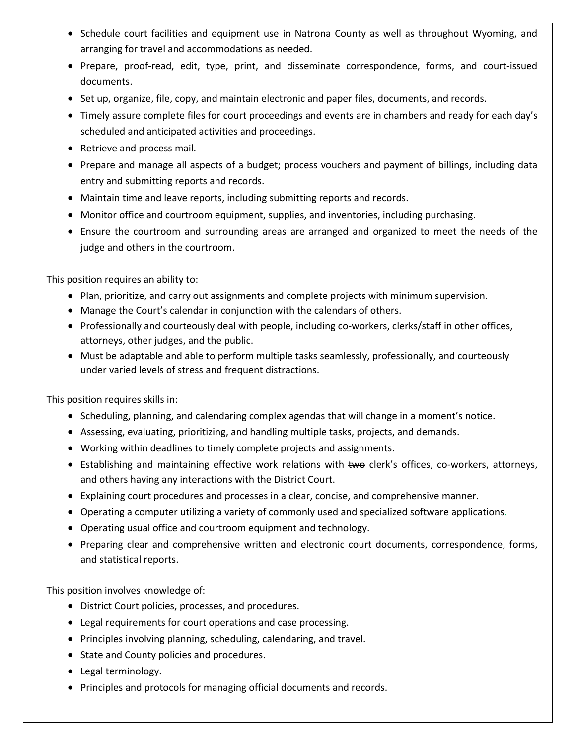- Schedule court facilities and equipment use in Natrona County as well as throughout Wyoming, and arranging for travel and accommodations as needed.
- Prepare, proof-read, edit, type, print, and disseminate correspondence, forms, and court-issued documents.
- Set up, organize, file, copy, and maintain electronic and paper files, documents, and records.
- Timely assure complete files for court proceedings and events are in chambers and ready for each day's scheduled and anticipated activities and proceedings.
- Retrieve and process mail.
- Prepare and manage all aspects of a budget; process vouchers and payment of billings, including data entry and submitting reports and records.
- Maintain time and leave reports, including submitting reports and records.
- Monitor office and courtroom equipment, supplies, and inventories, including purchasing.
- Ensure the courtroom and surrounding areas are arranged and organized to meet the needs of the judge and others in the courtroom.

This position requires an ability to:

- Plan, prioritize, and carry out assignments and complete projects with minimum supervision.
- Manage the Court's calendar in conjunction with the calendars of others.
- Professionally and courteously deal with people, including co-workers, clerks/staff in other offices, attorneys, other judges, and the public.
- Must be adaptable and able to perform multiple tasks seamlessly, professionally, and courteously under varied levels of stress and frequent distractions.

This position requires skills in:

- Scheduling, planning, and calendaring complex agendas that will change in a moment's notice.
- Assessing, evaluating, prioritizing, and handling multiple tasks, projects, and demands.
- Working within deadlines to timely complete projects and assignments.
- Establishing and maintaining effective work relations with two clerk's offices, co-workers, attorneys, and others having any interactions with the District Court.
- Explaining court procedures and processes in a clear, concise, and comprehensive manner.
- Operating a computer utilizing a variety of commonly used and specialized software applications.
- Operating usual office and courtroom equipment and technology.
- Preparing clear and comprehensive written and electronic court documents, correspondence, forms, and statistical reports.

This position involves knowledge of:

- District Court policies, processes, and procedures.
- Legal requirements for court operations and case processing.
- Principles involving planning, scheduling, calendaring, and travel.
- State and County policies and procedures.
- Legal terminology.
- Principles and protocols for managing official documents and records.